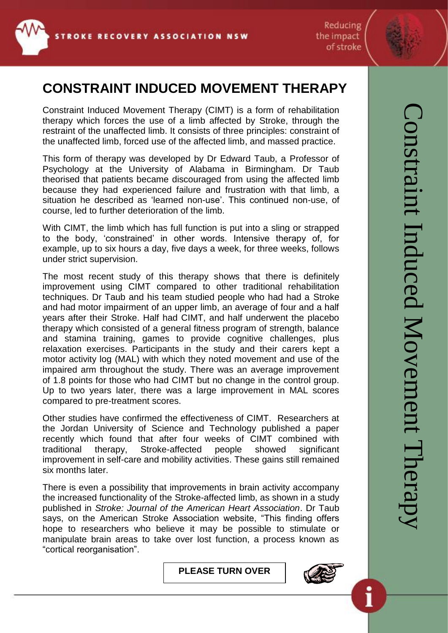

Reducing the impact of stroke

## **CONSTRAINT INDUCED MOVEMENT THERAPY**

Constraint Induced Movement Therapy (CIMT) is a form of rehabilitation therapy which forces the use of a limb affected by Stroke, through the restraint of the unaffected limb. It consists of three principles: constraint of the unaffected limb, forced use of the affected limb, and massed practice.

This form of therapy was developed by Dr Edward Taub, a Professor of Psychology at the University of Alabama in Birmingham. Dr Taub theorised that patients became discouraged from using the affected limb because they had experienced failure and frustration with that limb, a situation he described as 'learned non-use'. This continued non-use, of course, led to further deterioration of the limb.

With CIMT, the limb which has full function is put into a sling or strapped to the body, 'constrained' in other words. Intensive therapy of, for example, up to six hours a day, five days a week, for three weeks, follows under strict supervision.

The most recent study of this therapy shows that there is definitely improvement using CIMT compared to other traditional rehabilitation techniques. Dr Taub and his team studied people who had had a Stroke and had motor impairment of an upper limb, an average of four and a half years after their Stroke. Half had CIMT, and half underwent the placebo therapy which consisted of a general fitness program of strength, balance and stamina training, games to provide cognitive challenges, plus relaxation exercises. Participants in the study and their carers kept a motor activity log (MAL) with which they noted movement and use of the impaired arm throughout the study. There was an average improvement of 1.8 points for those who had CIMT but no change in the control group. Up to two years later, there was a large improvement in MAL scores compared to pre-treatment scores.

Other studies have confirmed the effectiveness of CIMT. Researchers at the Jordan University of Science and Technology published a paper recently which found that after four weeks of CIMT combined with traditional therapy, Stroke-affected people showed significant improvement in self-care and mobility activities. These gains still remained six months later.

There is even a possibility that improvements in brain activity accompany the increased functionality of the Stroke-affected limb, as shown in a study published in *Stroke: Journal of the American Heart Association*. Dr Taub says, on the American Stroke Association website, "This finding offers hope to researchers who believe it may be possible to stimulate or manipulate brain areas to take over lost function, a process known as "cortical reorganisation".

**PLEASE TURN OVER**